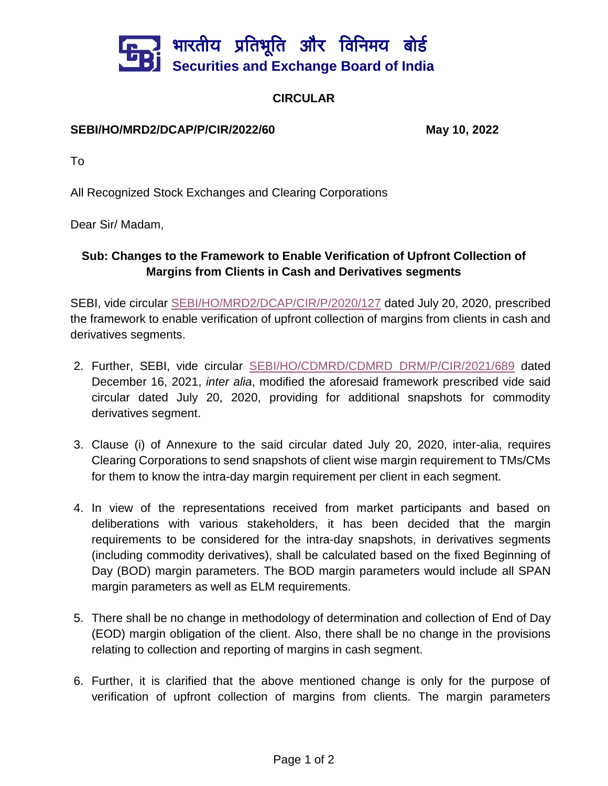

## **CIRCULAR**

## **SEBI/HO/MRD2/DCAP/P/CIR/2022/60 May 10, 2022**

To

All Recognized Stock Exchanges and Clearing Corporations

Dear Sir/ Madam,

## **Sub: Changes to the Framework to Enable Verification of Upfront Collection of Margins from Clients in Cash and Derivatives segments**

SEBI, vide circular [SEBI/HO/MRD2/DCAP/CIR/P/2020/127](https://www.sebi.gov.in/web/?file=/sebi_data/attachdocs/jul-2020/1595245283323.pdf#page=1&zoom=page-width,-15,842) dated July 20, 2020, prescribed the framework to enable verification of upfront collection of margins from clients in cash and derivatives segments.

- 2. Further, SEBI, vide circular [SEBI/HO/CDMRD/CDMRD\\_DRM/P/CIR/2021/689](https://www.sebi.gov.in/web/?file=https://www.sebi.gov.in/sebi_data/attachdocs/dec-2021/1639650596473.pdf#page=1&zoom=page-width,-15,842) dated December 16, 2021, *inter alia*, modified the aforesaid framework prescribed vide said circular dated July 20, 2020, providing for additional snapshots for commodity derivatives segment.
- 3. Clause (i) of Annexure to the said circular dated July 20, 2020, inter-alia, requires Clearing Corporations to send snapshots of client wise margin requirement to TMs/CMs for them to know the intra-day margin requirement per client in each segment.
- 4. In view of the representations received from market participants and based on deliberations with various stakeholders, it has been decided that the margin requirements to be considered for the intra-day snapshots, in derivatives segments (including commodity derivatives), shall be calculated based on the fixed Beginning of Day (BOD) margin parameters. The BOD margin parameters would include all SPAN margin parameters as well as ELM requirements.
- 5. There shall be no change in methodology of determination and collection of End of Day (EOD) margin obligation of the client. Also, there shall be no change in the provisions relating to collection and reporting of margins in cash segment.
- 6. Further, it is clarified that the above mentioned change is only for the purpose of verification of upfront collection of margins from clients. The margin parameters